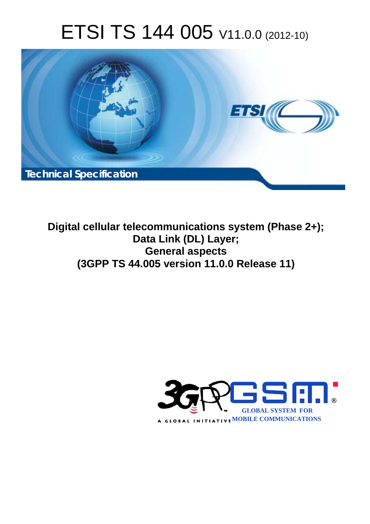# ETSI TS 144 005 V11.0.0 (2012-10)



**Digital cellular telecommunications system (Phase 2+); Data Link (DL) Layer; General aspects (3GPP TS 44.005 version 11.0.0 Release 11)** 

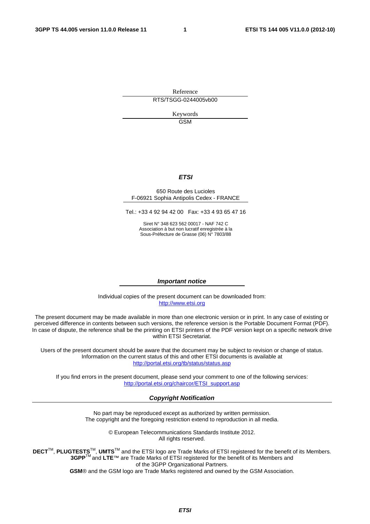Reference RTS/TSGG-0244005vb00

> Keywords GSM

#### *ETSI*

#### 650 Route des Lucioles F-06921 Sophia Antipolis Cedex - FRANCE

Tel.: +33 4 92 94 42 00 Fax: +33 4 93 65 47 16

Siret N° 348 623 562 00017 - NAF 742 C Association à but non lucratif enregistrée à la Sous-Préfecture de Grasse (06) N° 7803/88

#### *Important notice*

Individual copies of the present document can be downloaded from: [http://www.etsi.org](http://www.etsi.org/)

The present document may be made available in more than one electronic version or in print. In any case of existing or perceived difference in contents between such versions, the reference version is the Portable Document Format (PDF). In case of dispute, the reference shall be the printing on ETSI printers of the PDF version kept on a specific network drive within ETSI Secretariat.

Users of the present document should be aware that the document may be subject to revision or change of status. Information on the current status of this and other ETSI documents is available at <http://portal.etsi.org/tb/status/status.asp>

If you find errors in the present document, please send your comment to one of the following services: [http://portal.etsi.org/chaircor/ETSI\\_support.asp](http://portal.etsi.org/chaircor/ETSI_support.asp)

#### *Copyright Notification*

No part may be reproduced except as authorized by written permission. The copyright and the foregoing restriction extend to reproduction in all media.

> © European Telecommunications Standards Institute 2012. All rights reserved.

**DECT**TM, **PLUGTESTS**TM, **UMTS**TM and the ETSI logo are Trade Marks of ETSI registered for the benefit of its Members. **3GPP**TM and **LTE**™ are Trade Marks of ETSI registered for the benefit of its Members and of the 3GPP Organizational Partners.

**GSM**® and the GSM logo are Trade Marks registered and owned by the GSM Association.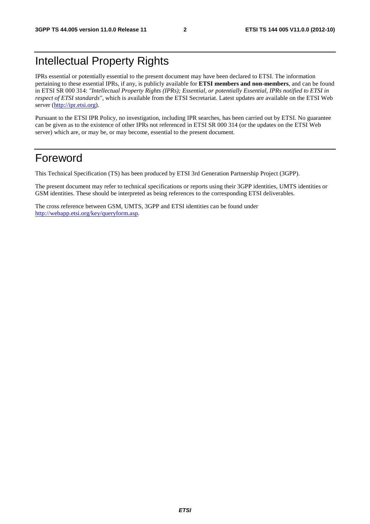# Intellectual Property Rights

IPRs essential or potentially essential to the present document may have been declared to ETSI. The information pertaining to these essential IPRs, if any, is publicly available for **ETSI members and non-members**, and can be found in ETSI SR 000 314: *"Intellectual Property Rights (IPRs); Essential, or potentially Essential, IPRs notified to ETSI in respect of ETSI standards"*, which is available from the ETSI Secretariat. Latest updates are available on the ETSI Web server [\(http://ipr.etsi.org](http://webapp.etsi.org/IPR/home.asp)).

Pursuant to the ETSI IPR Policy, no investigation, including IPR searches, has been carried out by ETSI. No guarantee can be given as to the existence of other IPRs not referenced in ETSI SR 000 314 (or the updates on the ETSI Web server) which are, or may be, or may become, essential to the present document.

# Foreword

This Technical Specification (TS) has been produced by ETSI 3rd Generation Partnership Project (3GPP).

The present document may refer to technical specifications or reports using their 3GPP identities, UMTS identities or GSM identities. These should be interpreted as being references to the corresponding ETSI deliverables.

The cross reference between GSM, UMTS, 3GPP and ETSI identities can be found under [http://webapp.etsi.org/key/queryform.asp.](http://webapp.etsi.org/key/queryform.asp)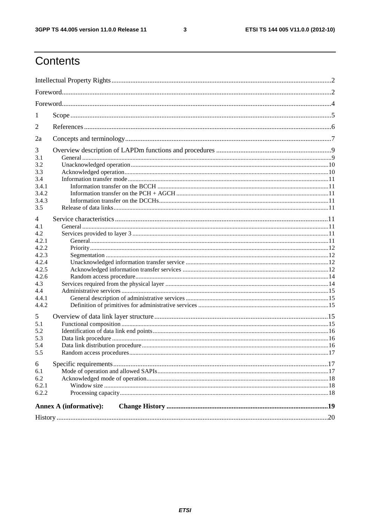$\mathbf{3}$ 

# Contents

| 1              |                               |  |  |  |  |  |
|----------------|-------------------------------|--|--|--|--|--|
| $\overline{2}$ |                               |  |  |  |  |  |
| 2a             |                               |  |  |  |  |  |
| 3              |                               |  |  |  |  |  |
| 3.1            |                               |  |  |  |  |  |
| 3.2            |                               |  |  |  |  |  |
| 3.3            |                               |  |  |  |  |  |
| 3.4            |                               |  |  |  |  |  |
| 3.4.1          |                               |  |  |  |  |  |
| 3.4.2          |                               |  |  |  |  |  |
| 3.4.3          |                               |  |  |  |  |  |
| 3.5            |                               |  |  |  |  |  |
| 4              |                               |  |  |  |  |  |
| 4.1            |                               |  |  |  |  |  |
| 4.2            |                               |  |  |  |  |  |
| 4.2.1          |                               |  |  |  |  |  |
| 4.2.2          |                               |  |  |  |  |  |
| 4.2.3          |                               |  |  |  |  |  |
|                |                               |  |  |  |  |  |
| 4.2.4          |                               |  |  |  |  |  |
| 4.2.5          |                               |  |  |  |  |  |
| 4.2.6          |                               |  |  |  |  |  |
| 4.3            |                               |  |  |  |  |  |
| 4.4            |                               |  |  |  |  |  |
| 4.4.1          |                               |  |  |  |  |  |
| 4.4.2          |                               |  |  |  |  |  |
| 5              |                               |  |  |  |  |  |
| 5.1            |                               |  |  |  |  |  |
| 5.2            |                               |  |  |  |  |  |
| 5.3            |                               |  |  |  |  |  |
| 5.4            |                               |  |  |  |  |  |
| 5.5            |                               |  |  |  |  |  |
|                |                               |  |  |  |  |  |
| 6              |                               |  |  |  |  |  |
| 6.1            |                               |  |  |  |  |  |
| 6.2            |                               |  |  |  |  |  |
| 6.2.1          |                               |  |  |  |  |  |
| 6.2.2          |                               |  |  |  |  |  |
|                | <b>Annex A (informative):</b> |  |  |  |  |  |
|                |                               |  |  |  |  |  |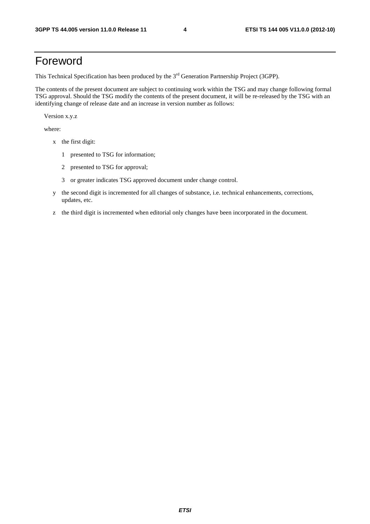# Foreword

This Technical Specification has been produced by the 3<sup>rd</sup> Generation Partnership Project (3GPP).

The contents of the present document are subject to continuing work within the TSG and may change following formal TSG approval. Should the TSG modify the contents of the present document, it will be re-released by the TSG with an identifying change of release date and an increase in version number as follows:

Version x.y.z

where:

- x the first digit:
	- 1 presented to TSG for information;
	- 2 presented to TSG for approval;
	- 3 or greater indicates TSG approved document under change control.
- y the second digit is incremented for all changes of substance, i.e. technical enhancements, corrections, updates, etc.
- z the third digit is incremented when editorial only changes have been incorporated in the document.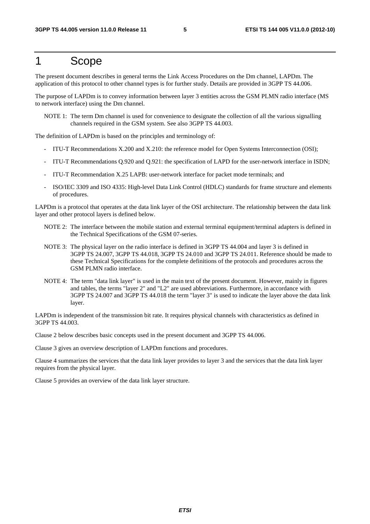# 1 Scope

The present document describes in general terms the Link Access Procedures on the Dm channel, LAPDm. The application of this protocol to other channel types is for further study. Details are provided in 3GPP TS 44.006.

The purpose of LAPDm is to convey information between layer 3 entities across the GSM PLMN radio interface (MS to network interface) using the Dm channel.

NOTE 1: The term Dm channel is used for convenience to designate the collection of all the various signalling channels required in the GSM system. See also 3GPP TS 44.003.

The definition of LAPDm is based on the principles and terminology of:

- ITU-T Recommendations X.200 and X.210: the reference model for Open Systems Interconnection (OSI);
- ITU-T Recommendations Q.920 and Q.921: the specification of LAPD for the user-network interface in ISDN;
- ITU-T Recommendation X.25 LAPB: user-network interface for packet mode terminals; and
- ISO/IEC 3309 and ISO 4335: High-level Data Link Control (HDLC) standards for frame structure and elements of procedures.

LAPDm is a protocol that operates at the data link layer of the OSI architecture. The relationship between the data link layer and other protocol layers is defined below.

- NOTE 2: The interface between the mobile station and external terminal equipment/terminal adapters is defined in the Technical Specifications of the GSM 07-series.
- NOTE 3: The physical layer on the radio interface is defined in 3GPP TS 44.004 and layer 3 is defined in 3GPP TS 24.007, 3GPP TS 44.018, 3GPP TS 24.010 and 3GPP TS 24.011. Reference should be made to these Technical Specifications for the complete definitions of the protocols and procedures across the GSM PLMN radio interface.
- NOTE 4: The term "data link layer" is used in the main text of the present document. However, mainly in figures and tables, the terms "layer 2" and "L2" are used abbreviations. Furthermore, in accordance with 3GPP TS 24.007 and 3GPP TS 44.018 the term "layer 3" is used to indicate the layer above the data link layer.

LAPDm is independent of the transmission bit rate. It requires physical channels with characteristics as defined in 3GPP TS 44.003.

Clause 2 below describes basic concepts used in the present document and 3GPP TS 44.006.

Clause 3 gives an overview description of LAPDm functions and procedures.

Clause 4 summarizes the services that the data link layer provides to layer 3 and the services that the data link layer requires from the physical layer.

Clause 5 provides an overview of the data link layer structure.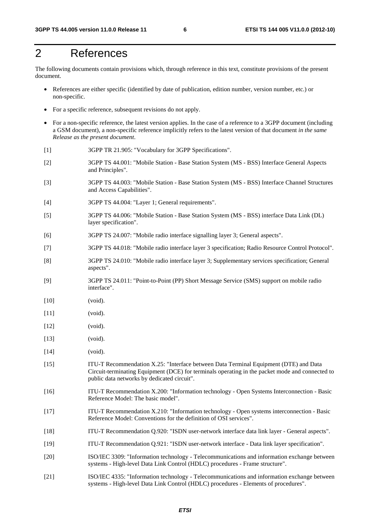# 2 References

The following documents contain provisions which, through reference in this text, constitute provisions of the present document.

- References are either specific (identified by date of publication, edition number, version number, etc.) or non-specific.
- For a specific reference, subsequent revisions do not apply.
- For a non-specific reference, the latest version applies. In the case of a reference to a 3GPP document (including a GSM document), a non-specific reference implicitly refers to the latest version of that document *in the same Release as the present document*.
- [1] 3GPP TR 21.905: "Vocabulary for 3GPP Specifications".
- [2] 3GPP TS 44.001: "Mobile Station Base Station System (MS BSS) Interface General Aspects and Principles".
- [3] 3GPP TS 44.003: "Mobile Station Base Station System (MS BSS) Interface Channel Structures and Access Capabilities".
- [4] 3GPP TS 44.004: "Layer 1; General requirements".
- [5] 3GPP TS 44.006: "Mobile Station Base Station System (MS BSS) interface Data Link (DL) layer specification".
- [6] 3GPP TS 24.007: "Mobile radio interface signalling layer 3; General aspects".
- [7] 3GPP TS 44.018: "Mobile radio interface layer 3 specification; Radio Resource Control Protocol".
- [8] 3GPP TS 24.010: "Mobile radio interface layer 3; Supplementary services specification; General aspects".
- [9] 3GPP TS 24.011: "Point-to-Point (PP) Short Message Service (SMS) support on mobile radio interface".
- [10] (void).
- [11] (void).
- [12] (void).
- [13] (void).
- [14] (void).
- [15] ITU-T Recommendation X.25: "Interface between Data Terminal Equipment (DTE) and Data Circuit-terminating Equipment (DCE) for terminals operating in the packet mode and connected to public data networks by dedicated circuit".
- [16] ITU-T Recommendation X.200: "Information technology Open Systems Interconnection Basic Reference Model: The basic model".
- [17] ITU-T Recommendation X.210: "Information technology Open systems interconnection Basic Reference Model: Conventions for the definition of OSI services".
- [18] ITU-T Recommendation Q.920: "ISDN user-network interface data link layer General aspects".
- [19] ITU-T Recommendation Q.921: "ISDN user-network interface Data link layer specification".
- [20] ISO/IEC 3309: "Information technology Telecommunications and information exchange between systems - High-level Data Link Control (HDLC) procedures - Frame structure".
- [21] ISO/IEC 4335: "Information technology Telecommunications and information exchange between systems - High-level Data Link Control (HDLC) procedures - Elements of procedures".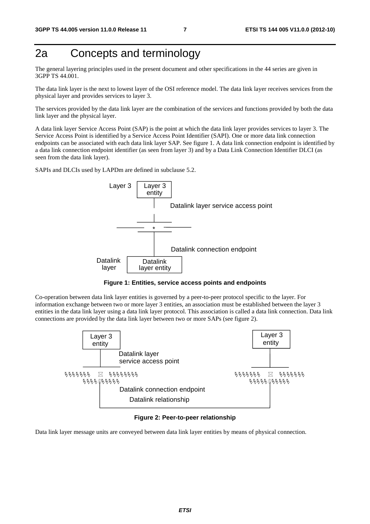# 2a Concepts and terminology

The general layering principles used in the present document and other specifications in the 44 series are given in 3GPP TS 44.001.

The data link layer is the next to lowest layer of the OSI reference model. The data link layer receives services from the physical layer and provides services to layer 3.

The services provided by the data link layer are the combination of the services and functions provided by both the data link layer and the physical layer.

A data link layer Service Access Point (SAP) is the point at which the data link layer provides services to layer 3. The Service Access Point is identified by a Service Access Point Identifier (SAPI). One or more data link connection endpoints can be associated with each data link layer SAP. See figure 1. A data link connection endpoint is identified by a data link connection endpoint identifier (as seen from layer 3) and by a Data Link Connection Identifier DLCI (as seen from the data link layer).

SAPIs and DLCIs used by LAPDm are defined in subclause 5.2.



**Figure 1: Entities, service access points and endpoints** 

Co-operation between data link layer entities is governed by a peer-to-peer protocol specific to the layer. For information exchange between two or more layer 3 entities, an association must be established between the layer 3 entities in the data link layer using a data link layer protocol. This association is called a data link connection. Data link connections are provided by the data link layer between two or more SAPs (see figure 2).



**Figure 2: Peer-to-peer relationship** 

Data link layer message units are conveyed between data link layer entities by means of physical connection.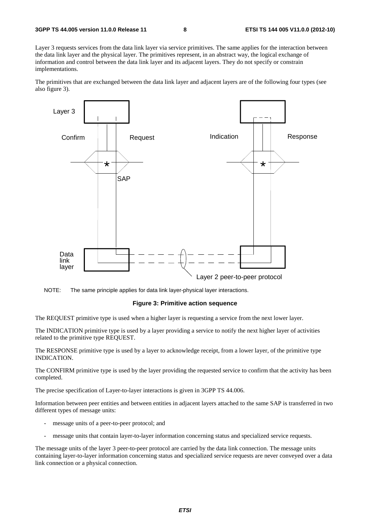Layer 3 requests services from the data link layer via service primitives. The same applies for the interaction between the data link layer and the physical layer. The primitives represent, in an abstract way, the logical exchange of information and control between the data link layer and its adjacent layers. They do not specify or constrain implementations.

The primitives that are exchanged between the data link layer and adjacent layers are of the following four types (see also figure 3).



NOTE: The same principle applies for data link layer-physical layer interactions.

#### **Figure 3: Primitive action sequence**

The REQUEST primitive type is used when a higher layer is requesting a service from the next lower layer.

The INDICATION primitive type is used by a layer providing a service to notify the next higher layer of activities related to the primitive type REQUEST.

The RESPONSE primitive type is used by a layer to acknowledge receipt, from a lower layer, of the primitive type INDICATION.

The CONFIRM primitive type is used by the layer providing the requested service to confirm that the activity has been completed.

The precise specification of Layer-to-layer interactions is given in 3GPP TS 44.006.

Information between peer entities and between entities in adjacent layers attached to the same SAP is transferred in two different types of message units:

- message units of a peer-to-peer protocol; and
- message units that contain layer-to-layer information concerning status and specialized service requests.

The message units of the layer 3 peer-to-peer protocol are carried by the data link connection. The message units containing layer-to-layer information concerning status and specialized service requests are never conveyed over a data link connection or a physical connection.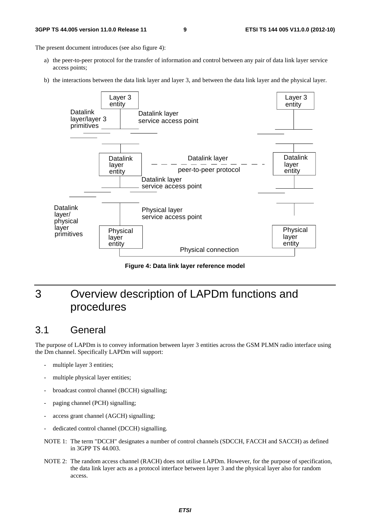#### **3GPP TS 44.005 version 11.0.0 Release 11 9 ETSI TS 144 005 V11.0.0 (2012-10)**

The present document introduces (see also figure 4):

- a) the peer-to-peer protocol for the transfer of information and control between any pair of data link layer service access points;
- b) the interactions between the data link layer and layer 3, and between the data link layer and the physical layer.



**Figure 4: Data link layer reference model** 

# 3 Overview description of LAPDm functions and procedures

# 3.1 General

The purpose of LAPDm is to convey information between layer 3 entities across the GSM PLMN radio interface using the Dm channel. Specifically LAPDm will support:

- multiple layer 3 entities;
- multiple physical layer entities;
- broadcast control channel (BCCH) signalling;
- paging channel (PCH) signalling;
- access grant channel (AGCH) signalling;
- dedicated control channel (DCCH) signalling.
- NOTE 1: The term "DCCH" designates a number of control channels (SDCCH, FACCH and SACCH) as defined in 3GPP TS 44.003.
- NOTE 2: The random access channel (RACH) does not utilise LAPDm. However, for the purpose of specification, the data link layer acts as a protocol interface between layer 3 and the physical layer also for random access.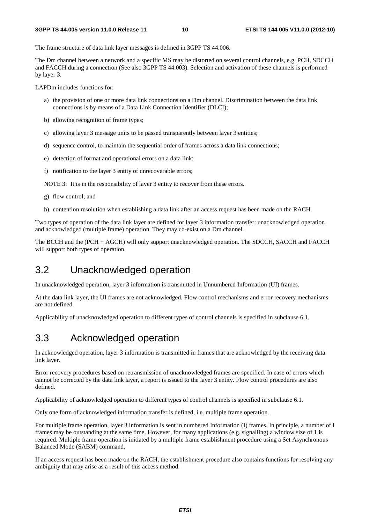The frame structure of data link layer messages is defined in 3GPP TS 44.006.

The Dm channel between a network and a specific MS may be distorted on several control channels, e.g. PCH, SDCCH and FACCH during a connection (See also 3GPP TS 44.003). Selection and activation of these channels is performed by layer 3.

LAPDm includes functions for:

- a) the provision of one or more data link connections on a Dm channel. Discrimination between the data link connections is by means of a Data Link Connection Identifier (DLCI);
- b) allowing recognition of frame types;
- c) allowing layer 3 message units to be passed transparently between layer 3 entities;
- d) sequence control, to maintain the sequential order of frames across a data link connections;
- e) detection of format and operational errors on a data link;
- f) notification to the layer 3 entity of unrecoverable errors;

NOTE 3: It is in the responsibility of layer 3 entity to recover from these errors.

- g) flow control; and
- h) contention resolution when establishing a data link after an access request has been made on the RACH.

Two types of operation of the data link layer are defined for layer 3 information transfer: unacknowledged operation and acknowledged (multiple frame) operation. They may co-exist on a Dm channel.

The BCCH and the (PCH + AGCH) will only support unacknowledged operation. The SDCCH, SACCH and FACCH will support both types of operation.

# 3.2 Unacknowledged operation

In unacknowledged operation, layer 3 information is transmitted in Unnumbered Information (UI) frames.

At the data link layer, the UI frames are not acknowledged. Flow control mechanisms and error recovery mechanisms are not defined.

Applicability of unacknowledged operation to different types of control channels is specified in subclause 6.1.

# 3.3 Acknowledged operation

In acknowledged operation, layer 3 information is transmitted in frames that are acknowledged by the receiving data link layer.

Error recovery procedures based on retransmission of unacknowledged frames are specified. In case of errors which cannot be corrected by the data link layer, a report is issued to the layer 3 entity. Flow control procedures are also defined.

Applicability of acknowledged operation to different types of control channels is specified in subclause 6.1.

Only one form of acknowledged information transfer is defined, i.e. multiple frame operation.

For multiple frame operation, layer 3 information is sent in numbered Information (I) frames. In principle, a number of I frames may be outstanding at the same time. However, for many applications (e.g. signalling) a window size of 1 is required. Multiple frame operation is initiated by a multiple frame establishment procedure using a Set Asynchronous Balanced Mode (SABM) command.

If an access request has been made on the RACH, the establishment procedure also contains functions for resolving any ambiguity that may arise as a result of this access method.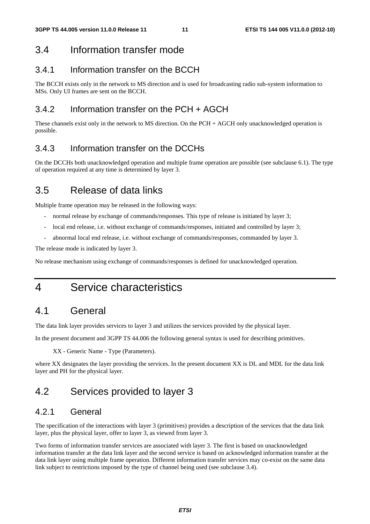### 3.4 Information transfer mode

### 3.4.1 Information transfer on the BCCH

The BCCH exists only in the network to MS direction and is used for broadcasting radio sub-system information to MSs. Only UI frames are sent on the BCCH.

### 3.4.2 Information transfer on the PCH + AGCH

These channels exist only in the network to MS direction. On the PCH + AGCH only unacknowledged operation is possible.

### 3.4.3 Information transfer on the DCCHs

On the DCCHs both unacknowledged operation and multiple frame operation are possible (see subclause 6.1). The type of operation required at any time is determined by layer 3.

# 3.5 Release of data links

Multiple frame operation may be released in the following ways:

- normal release by exchange of commands/responses. This type of release is initiated by layer 3;
- local end release, i.e. without exchange of commands/responses, initiated and controlled by layer 3;
- abnormal local end release, i.e. without exchange of commands/responses, commanded by layer 3.

The release mode is indicated by layer 3.

No release mechanism using exchange of commands/responses is defined for unacknowledged operation.

4 Service characteristics

# 4.1 General

The data link layer provides services to layer 3 and utilizes the services provided by the physical layer.

In the present document and 3GPP TS 44.006 the following general syntax is used for describing primitives.

XX - Generic Name - Type (Parameters).

where XX designates the layer providing the services. In the present document XX is DL and MDL for the data link layer and PH for the physical layer.

# 4.2 Services provided to layer 3

### 4.2.1 General

The specification of the interactions with layer 3 (primitives) provides a description of the services that the data link layer, plus the physical layer, offer to layer 3, as viewed from layer 3.

Two forms of information transfer services are associated with layer 3. The first is based on unacknowledged information transfer at the data link layer and the second service is based on acknowledged information transfer at the data link layer using multiple frame operation. Different information transfer services may co-exist on the same data link subject to restrictions imposed by the type of channel being used (see subclause 3.4).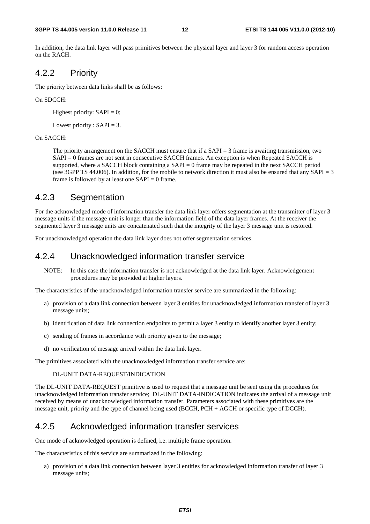In addition, the data link layer will pass primitives between the physical layer and layer 3 for random access operation on the RACH.

### 4.2.2 Priority

The priority between data links shall be as follows:

#### On SDCCH:

Highest priority:  $SAPI = 0$ ;

Lowest priority :  $SAPI = 3$ .

#### On SACCH:

 The priority arrangement on the SACCH must ensure that if a SAPI = 3 frame is awaiting transmission, two SAPI = 0 frames are not sent in consecutive SACCH frames. An exception is when Repeated SACCH is supported, where a SACCH block containing a  $SAPI = 0$  frame may be repeated in the next SACCH period (see 3GPP TS 44.006). In addition, for the mobile to network direction it must also be ensured that any SAPI = 3 frame is followed by at least one  $SAPI = 0$  frame.

### 4.2.3 Segmentation

For the acknowledged mode of information transfer the data link layer offers segmentation at the transmitter of layer 3 message units if the message unit is longer than the information field of the data layer frames. At the receiver the segmented layer 3 message units are concatenated such that the integrity of the layer 3 message unit is restored.

For unacknowledged operation the data link layer does not offer segmentation services.

### 4.2.4 Unacknowledged information transfer service

NOTE: In this case the information transfer is not acknowledged at the data link layer. Acknowledgement procedures may be provided at higher layers.

The characteristics of the unacknowledged information transfer service are summarized in the following:

- a) provision of a data link connection between layer 3 entities for unacknowledged information transfer of layer 3 message units;
- b) identification of data link connection endpoints to permit a layer 3 entity to identify another layer 3 entity;
- c) sending of frames in accordance with priority given to the message;
- d) no verification of message arrival within the data link layer.

The primitives associated with the unacknowledged information transfer service are:

#### DL-UNIT DATA-REQUEST/INDICATION

The DL-UNIT DATA-REQUEST primitive is used to request that a message unit be sent using the procedures for unacknowledged information transfer service; DL-UNIT DATA-INDICATION indicates the arrival of a message unit received by means of unacknowledged information transfer. Parameters associated with these primitives are the message unit, priority and the type of channel being used (BCCH, PCH + AGCH or specific type of DCCH).

### 4.2.5 Acknowledged information transfer services

One mode of acknowledged operation is defined, i.e. multiple frame operation.

The characteristics of this service are summarized in the following:

a) provision of a data link connection between layer 3 entities for acknowledged information transfer of layer 3 message units;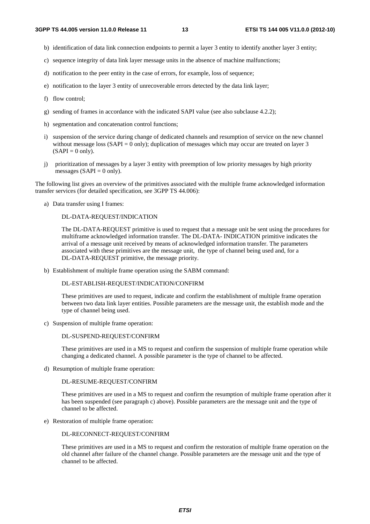- b) identification of data link connection endpoints to permit a layer 3 entity to identify another layer 3 entity;
- c) sequence integrity of data link layer message units in the absence of machine malfunctions;
- d) notification to the peer entity in the case of errors, for example, loss of sequence;
- e) notification to the layer 3 entity of unrecoverable errors detected by the data link layer;
- f) flow control;
- g) sending of frames in accordance with the indicated SAPI value (see also subclause 4.2.2);
- h) segmentation and concatenation control functions;
- i) suspension of the service during change of dedicated channels and resumption of service on the new channel without message loss  $(SAPI = 0$  only); duplication of messages which may occur are treated on layer 3  $(SAPI = 0$  only).
- j) prioritization of messages by a layer 3 entity with preemption of low priority messages by high priority messages (SAPI =  $0$  only).

The following list gives an overview of the primitives associated with the multiple frame acknowledged information transfer services (for detailed specification, see 3GPP TS 44.006):

a) Data transfer using I frames:

#### DL-DATA-REQUEST/INDICATION

 The DL-DATA-REQUEST primitive is used to request that a message unit be sent using the procedures for multiframe acknowledged information transfer. The DL-DATA- INDICATION primitive indicates the arrival of a message unit received by means of acknowledged information transfer. The parameters associated with these primitives are the message unit, the type of channel being used and, for a DL-DATA-REQUEST primitive, the message priority.

b) Establishment of multiple frame operation using the SABM command:

#### DL-ESTABLISH-REQUEST/INDICATION/CONFIRM

 These primitives are used to request, indicate and confirm the establishment of multiple frame operation between two data link layer entities. Possible parameters are the message unit, the establish mode and the type of channel being used.

c) Suspension of multiple frame operation:

#### DL-SUSPEND-REQUEST/CONFIRM

 These primitives are used in a MS to request and confirm the suspension of multiple frame operation while changing a dedicated channel. A possible parameter is the type of channel to be affected.

d) Resumption of multiple frame operation:

#### DL-RESUME-REQUEST/CONFIRM

 These primitives are used in a MS to request and confirm the resumption of multiple frame operation after it has been suspended (see paragraph c) above). Possible parameters are the message unit and the type of channel to be affected.

e) Restoration of multiple frame operation:

#### DL-RECONNECT-REQUEST/CONFIRM

 These primitives are used in a MS to request and confirm the restoration of multiple frame operation on the old channel after failure of the channel change. Possible parameters are the message unit and the type of channel to be affected.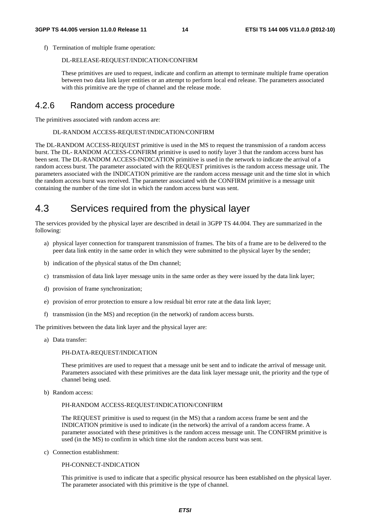f) Termination of multiple frame operation:

#### DL-RELEASE-REQUEST/INDICATION/CONFIRM

 These primitives are used to request, indicate and confirm an attempt to terminate multiple frame operation between two data link layer entities or an attempt to perform local end release. The parameters associated with this primitive are the type of channel and the release mode.

### 4.2.6 Random access procedure

The primitives associated with random access are:

#### DL-RANDOM ACCESS-REQUEST/INDICATION/CONFIRM

The DL-RANDOM ACCESS-REQUEST primitive is used in the MS to request the transmission of a random access burst. The DL- RANDOM ACCESS-CONFIRM primitive is used to notify layer 3 that the random access burst has been sent. The DL-RANDOM ACCESS-INDICATION primitive is used in the network to indicate the arrival of a random access burst. The parameter associated with the REQUEST primitives is the random access message unit. The parameters associated with the INDICATION primitive are the random access message unit and the time slot in which the random access burst was received. The parameter associated with the CONFIRM primitive is a message unit containing the number of the time slot in which the random access burst was sent.

# 4.3 Services required from the physical layer

The services provided by the physical layer are described in detail in 3GPP TS 44.004. They are summarized in the following:

- a) physical layer connection for transparent transmission of frames. The bits of a frame are to be delivered to the peer data link entity in the same order in which they were submitted to the physical layer by the sender;
- b) indication of the physical status of the Dm channel;
- c) transmission of data link layer message units in the same order as they were issued by the data link layer;
- d) provision of frame synchronization;
- e) provision of error protection to ensure a low residual bit error rate at the data link layer;
- f) transmission (in the MS) and reception (in the network) of random access bursts.

The primitives between the data link layer and the physical layer are:

a) Data transfer:

#### PH-DATA-REQUEST/INDICATION

 These primitives are used to request that a message unit be sent and to indicate the arrival of message unit. Parameters associated with these primitives are the data link layer message unit, the priority and the type of channel being used.

b) Random access:

#### PH-RANDOM ACCESS-REQUEST/INDICATION/CONFIRM

 The REQUEST primitive is used to request (in the MS) that a random access frame be sent and the INDICATION primitive is used to indicate (in the network) the arrival of a random access frame. A parameter associated with these primitives is the random access message unit. The CONFIRM primitive is used (in the MS) to confirm in which time slot the random access burst was sent.

c) Connection establishment:

#### PH-CONNECT-INDICATION

 This primitive is used to indicate that a specific physical resource has been established on the physical layer. The parameter associated with this primitive is the type of channel.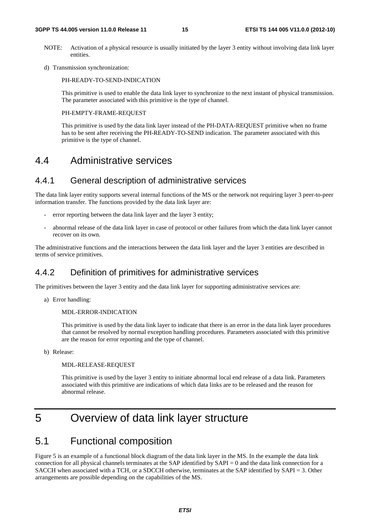#### **3GPP TS 44.005 version 11.0.0 Release 11 15 ETSI TS 144 005 V11.0.0 (2012-10)**

- NOTE: Activation of a physical resource is usually initiated by the layer 3 entity without involving data link layer entities.
- d) Transmission synchronization:

PH-READY-TO-SEND-INDICATION

 This primitive is used to enable the data link layer to synchronize to the next instant of physical transmission. The parameter associated with this primitive is the type of channel.

#### PH-EMPTY-FRAME-REQUEST

 This primitive is used by the data link layer instead of the PH-DATA-REQUEST primitive when no frame has to be sent after receiving the PH-READY-TO-SEND indication. The parameter associated with this primitive is the type of channel.

# 4.4 Administrative services

### 4.4.1 General description of administrative services

The data link layer entity supports several internal functions of the MS or the network not requiring layer 3 peer-to-peer information transfer. The functions provided by the data link layer are:

- error reporting between the data link layer and the layer 3 entity;
- abnormal release of the data link layer in case of protocol or other failures from which the data link layer cannot recover on its own.

The administrative functions and the interactions between the data link layer and the layer 3 entities are described in terms of service primitives.

### 4.4.2 Definition of primitives for administrative services

The primitives between the layer 3 entity and the data link layer for supporting administrative services are:

a) Error handling:

#### MDL-ERROR-INDICATION

 This primitive is used by the data link layer to indicate that there is an error in the data link layer procedures that cannot be resolved by normal exception handling procedures. Parameters associated with this primitive are the reason for error reporting and the type of channel.

b) Release:

#### MDL-RELEASE-REQUEST

 This primitive is used by the layer 3 entity to initiate abnormal local end release of a data link. Parameters associated with this primitive are indications of which data links are to be released and the reason for abnormal release.

# 5 Overview of data link layer structure

# 5.1 Functional composition

Figure 5 is an example of a functional block diagram of the data link layer in the MS. In the example the data link connection for all physical channels terminates at the SAP identified by SAPI = 0 and the data link connection for a SACCH when associated with a TCH, or a SDCCH otherwise, terminates at the SAP identified by SAPI = 3. Other arrangements are possible depending on the capabilities of the MS.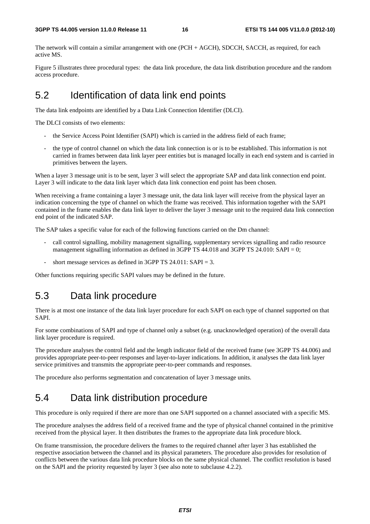The network will contain a similar arrangement with one (PCH + AGCH), SDCCH, SACCH, as required, for each active MS.

Figure 5 illustrates three procedural types: the data link procedure, the data link distribution procedure and the random access procedure.

# 5.2 Identification of data link end points

The data link endpoints are identified by a Data Link Connection Identifier (DLCI).

The DLCI consists of two elements:

- the Service Access Point Identifier (SAPI) which is carried in the address field of each frame;
- the type of control channel on which the data link connection is or is to be established. This information is not carried in frames between data link layer peer entities but is managed locally in each end system and is carried in primitives between the layers.

When a layer 3 message unit is to be sent, layer 3 will select the appropriate SAP and data link connection end point. Layer 3 will indicate to the data link layer which data link connection end point has been chosen.

When receiving a frame containing a layer 3 message unit, the data link layer will receive from the physical layer an indication concerning the type of channel on which the frame was received. This information together with the SAPI contained in the frame enables the data link layer to deliver the layer 3 message unit to the required data link connection end point of the indicated SAP.

The SAP takes a specific value for each of the following functions carried on the Dm channel:

- call control signalling, mobility management signalling, supplementary services signalling and radio resource management signalling information as defined in 3GPP TS 44.018 and 3GPP TS 24.010: SAPI = 0;
- short message services as defined in 3GPP TS 24.011:  $SAPI = 3$ .

Other functions requiring specific SAPI values may be defined in the future.

# 5.3 Data link procedure

There is at most one instance of the data link layer procedure for each SAPI on each type of channel supported on that SAPI.

For some combinations of SAPI and type of channel only a subset (e.g. unacknowledged operation) of the overall data link layer procedure is required.

The procedure analyses the control field and the length indicator field of the received frame (see 3GPP TS 44.006) and provides appropriate peer-to-peer responses and layer-to-layer indications. In addition, it analyses the data link layer service primitives and transmits the appropriate peer-to-peer commands and responses.

The procedure also performs segmentation and concatenation of layer 3 message units.

# 5.4 Data link distribution procedure

This procedure is only required if there are more than one SAPI supported on a channel associated with a specific MS.

The procedure analyses the address field of a received frame and the type of physical channel contained in the primitive received from the physical layer. It then distributes the frames to the appropriate data link procedure block.

On frame transmission, the procedure delivers the frames to the required channel after layer 3 has established the respective association between the channel and its physical parameters. The procedure also provides for resolution of conflicts between the various data link procedure blocks on the same physical channel. The conflict resolution is based on the SAPI and the priority requested by layer 3 (see also note to subclause 4.2.2).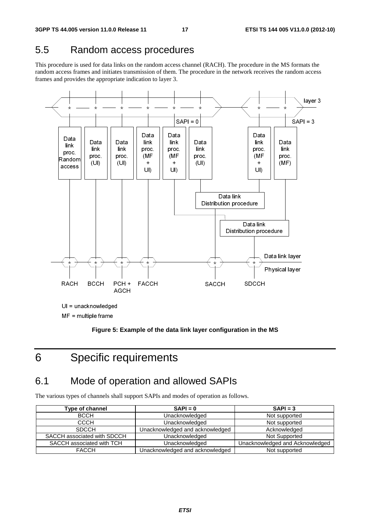# 5.5 Random access procedures

This procedure is used for data links on the random access channel (RACH). The procedure in the MS formats the random access frames and initiates transmission of them. The procedure in the network receives the random access frames and provides the appropriate indication to layer 3.



MF = multiple frame

**Figure 5: Example of the data link layer configuration in the MS** 

# 6 Specific requirements

# 6.1 Mode of operation and allowed SAPIs

The various types of channels shall support SAPIs and modes of operation as follows.

| Type of channel             | $SAPI = 0$                      | $SAPI = 3$                      |
|-----------------------------|---------------------------------|---------------------------------|
| <b>BCCH</b>                 | Unacknowledged                  | Not supported                   |
| СССН                        | Unacknowledged                  | Not supported                   |
| <b>SDCCH</b>                | Unacknowledged and acknowledged | Acknowledged                    |
| SACCH associated with SDCCH | Unacknowledged                  | Not Supported                   |
| SACCH associated with TCH   | Unacknowledged                  | Unacknowledged and Acknowledged |
| <b>FACCH</b>                | Unacknowledged and acknowledged | Not supported                   |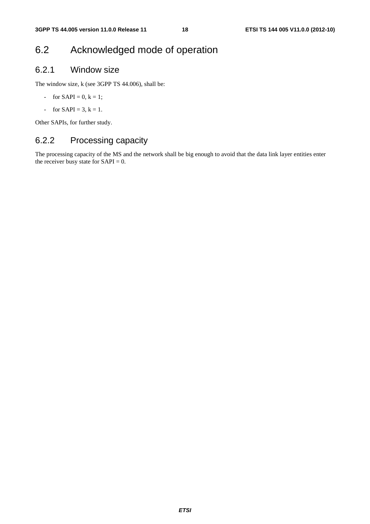# 6.2 Acknowledged mode of operation

### 6.2.1 Window size

The window size, k (see 3GPP TS 44.006), shall be:

- for  $SAPI = 0, k = 1;$
- for  $SAPI = 3, k = 1$ .

Other SAPIs, for further study.

# 6.2.2 Processing capacity

The processing capacity of the MS and the network shall be big enough to avoid that the data link layer entities enter the receiver busy state for  $SAPI = 0$ .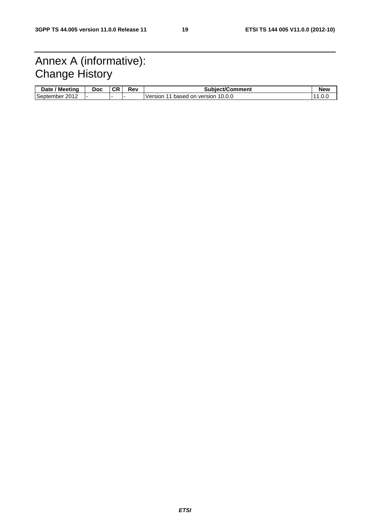# Annex A (informative): Change History

| ' Meetina<br><b>Date</b> | <b>Doc</b> | СR | Rev | <b>Subiect/Comment</b>                       | New |
|--------------------------|------------|----|-----|----------------------------------------------|-----|
| September<br>2012        |            |    |     | 10.0.0<br>Version<br>based<br>version<br>.on |     |